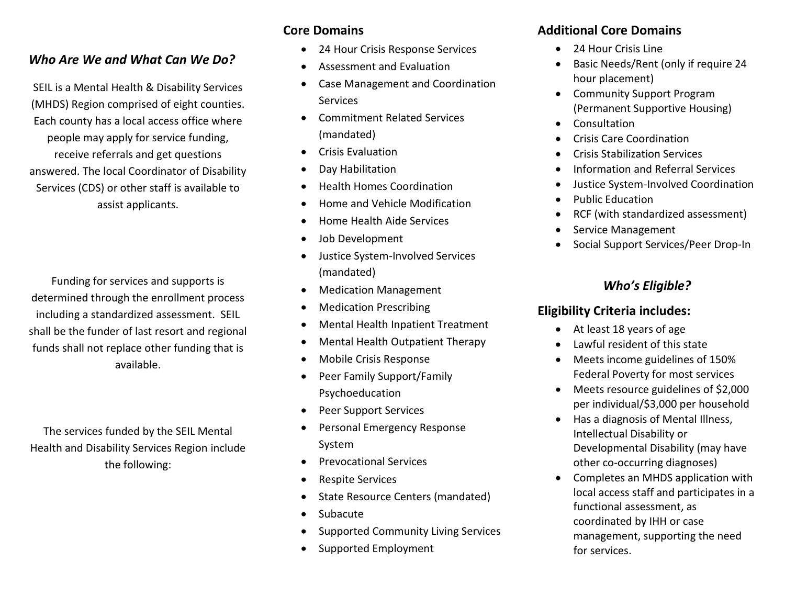### *Who Are We and What Can We Do?*

SEIL is a Mental Health & Disability Services (MHDS) Region comprised of eight counties. Each county has a local access office where people may apply for service funding, receive referrals and get questions answered. The local Coordinator of Disability Services (CDS) or other staff is available to assist applicants.

Funding for services and supports is determined through the enrollment process including a standardized assessment. SEIL shall be the funder of last resort and regional funds shall not replace other funding that is available.

The services funded by the SEIL Mental Health and Disability Services Region include the following:

## **Core Domains**

- 24 Hour Crisis Response Services
- Assessment and Evaluation
- Case Management and Coordination **Services**
- Commitment Related Services (mandated)
- Crisis Evaluation
- Day Habilitation
- Health Homes Coordination
- Home and Vehicle Modification
- Home Health Aide Services
- Job Development
- Justice System-Involved Services (mandated)
- Medication Management
- Medication Prescribing
- Mental Health Inpatient Treatment
- Mental Health Outpatient Therapy
- Mobile Crisis Response
- Peer Family Support/Family Psychoeducation
- Peer Support Services
- Personal Emergency Response System
- Prevocational Services
- Respite Services
- State Resource Centers (mandated)
- Subacute
- Supported Community Living Services
- Supported Employment

# **Additional Core Domains**

- 24 Hour Crisis Line
- Basic Needs/Rent (only if require 24 hour placement)
- Community Support Program (Permanent Supportive Housing)
- Consultation
- Crisis Care Coordination
- Crisis Stabilization Services
- Information and Referral Services
- Justice System-Involved Coordination
- Public Education
- RCF (with standardized assessment)
- Service Management
- Social Support Services/Peer Drop-In

# *Who's Eligible?*

# **Eligibility Criteria includes:**

- At least 18 years of age
- Lawful resident of this state
- Meets income guidelines of 150% Federal Poverty for most services
- Meets resource guidelines of \$2,000 per individual/\$3,000 per household
- Has a diagnosis of Mental Illness, Intellectual Disability or Developmental Disability (may have other co-occurring diagnoses)
- Completes an MHDS application with local access staff and participates in a functional assessment, as coordinated by IHH or case management, supporting the need for services.